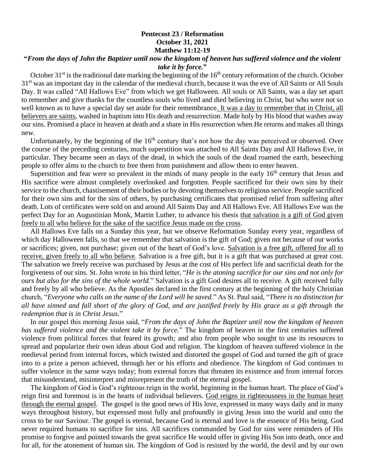## **Pentecost 23 / Reformation October 31, 2021 Matthew 11:12-19**

## **"***From the days of John the Baptizer until now the kingdom of heaven has suffered violence and the violent take it by force.***"**

October  $31<sup>st</sup>$  is the traditional date marking the beginning of the  $16<sup>th</sup>$  century reformation of the church. October 31<sup>st</sup> was an important day in the calendar of the medieval church, because it was the eve of All Saints or All Souls Day. It was called "All Hallows Eve" from which we get Halloween. All souls or All Saints, was a day set apart to remember and give thanks for the countless souls who lived and died believing in Christ, but who were not so well known as to have a special day set aside for their remembrance. It was a day to remember that in Christ, all believers are saints, washed in baptism into His death and resurrection. Made holy by His blood that washes away our sins. Promised a place in heaven at death and a share in His resurrection when He returns and makes all things new.

Unfortunately, by the beginning of the  $16<sup>th</sup>$  century that's not how the day was perceived or observed. Over the course of the preceding centuries, much superstition was attached to All Saints Day and All Hallows Eve, in particular. They became seen as days of the dead, in which the souls of the dead roamed the earth, beseeching people to offer alms to the church to free them from punishment and allow them to enter heaven.

Superstition and fear were so prevalent in the minds of many people in the early  $16<sup>th</sup>$  century that Jesus and His sacrifice were almost completely overlooked and forgotten. People sacrificed for their own sins by their service to the church, chastisement of their bodies or by devoting themselves to religious service. People sacrificed for their own sins and for the sins of others, by purchasing certificates that promised relief from suffering after death. Lots of certificates were sold on and around All Saints Day and All Hallows Eve. All Hallows Eve was the perfect Day for an Augustinian Monk, Martin Luther, to advance his thesis that salvation is a gift of God given freely to all who believe for the sake of the sacrifice Jesus made on the cross.

 All Hallows Eve falls on a Sunday this year, but we observe Reformation Sunday every year, regardless of which day Halloween falls, so that we remember that salvation is the gift of God; given not because of our works or sacrifices; given, not purchase; given out of the heart of God's love. Salvation is a free gift, offered for all to receive, given freely to all who believe. Salvation is a free gift, but it is a gift that was purchased at great cost. The salvation we freely receive was purchased by Jesus at the cost of His perfect life and sacrificial death for the forgiveness of our sins. St. John wrote in his third letter, "*He is the atoning sacrifice for our sins and not only for ours but also for the sins of the whole world.*" Salvation is a gift God desires all to receive. A gift received fully and freely by all who believe. As the Apostles declared in the first century at the beginning of the holy Christian church, "*Everyone who calls on the name of the Lord will be saved.*" As St. Paul said, "*There is no distinction for all have sinned and fall short of the glory of God, and are justified freely by His grace as a gift through the redemption that is in Christ Jesus.*"

 In our gospel this morning Jesus said, "*From the days of John the Baptizer until now the kingdom of heaven has suffered violence and the violent take it by force.*" The kingdom of heaven in the first centuries suffered violence from political forces that feared its growth; and also from people who sought to use its resources to spread and popularize their own ideas about God and religion. The kingdom of heaven suffered violence in the medieval period from internal forces, which twisted and distorted the gospel of God and turned the gift of grace into to a prize a person achieved, through her or his efforts and obedience. The kingdom of God continues to suffer violence in the same ways today; from external forces that threaten its existence and from internal forces that misunderstand, misinterpret and misrepresent the truth of the eternal gospel.

 The kingdom of God is God's righteous reign in the world, beginning in the human heart. The place of God's reign first and foremost is in the hearts of individual believers. God reigns in righteousness in the human heart through the eternal gospel. The gospel is the good news of His love, expressed in many ways daily and in many ways throughout history, but expressed most fully and profoundly in giving Jesus into the world and onto the cross to be our Saviour. The gospel is eternal, because God is eternal and love is the essence of His being. God never required humans to sacrifice for sins. All sacrifices commanded by God for sins were reminders of His promise to forgive and pointed towards the great sacrifice He would offer in giving His Son into death, once and for all, for the atonement of human sin. The kingdom of God is resisted by the world, the devil and by our own